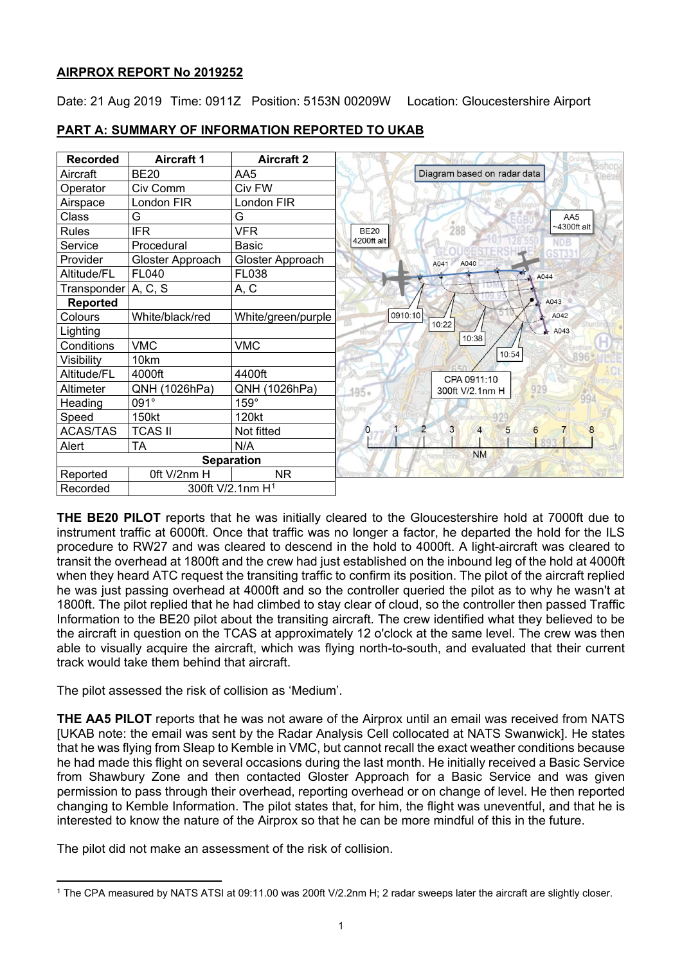# **AIRPROX REPORT No 2019252**

Date: 21 Aug 2019 Time: 0911Z Position: 5153N 00209W Location: Gloucestershire Airport

| <b>Recorded</b>   | <b>Aircraft 1</b> | <b>Aircraft 2</b>            |  |
|-------------------|-------------------|------------------------------|--|
| Aircraft          | <b>BE20</b>       | AA5                          |  |
| Operator          | Civ Comm          | Civ FW                       |  |
| Airspace          | London FIR        | London FIR                   |  |
| Class             | G                 | G                            |  |
| <b>Rules</b>      | <b>IFR</b>        | <b>VFR</b>                   |  |
| Service           | Procedural        | <b>Basic</b>                 |  |
| Provider          | Gloster Approach  | Gloster Approach             |  |
| Altitude/FL       | <b>FL040</b>      | FL038                        |  |
| Transponder       | A, C, S           | A, C                         |  |
| <b>Reported</b>   |                   |                              |  |
| Colours           | White/black/red   | White/green/purple           |  |
| Lighting          |                   |                              |  |
| Conditions        | <b>VMC</b>        | <b>VMC</b>                   |  |
| Visibility        | 10km              |                              |  |
| Altitude/FL       | 4000ft            | 4400ft                       |  |
| Altimeter         | QNH (1026hPa)     | QNH (1026hPa)                |  |
| Heading           | 091°              | $159^\circ$                  |  |
| Speed             | 150kt             | 120kt                        |  |
| <b>ACAS/TAS</b>   | <b>TCAS II</b>    | Not fitted                   |  |
| Alert             | <b>TA</b>         | N/A                          |  |
| <b>Separation</b> |                   |                              |  |
| Reported          | Oft V/2nm H       | <b>NR</b>                    |  |
| Recorded          |                   | 300ft V/2.1nm H <sup>1</sup> |  |

# **PART A: SUMMARY OF INFORMATION REPORTED TO UKAB**

**THE BE20 PILOT** reports that he was initially cleared to the Gloucestershire hold at 7000ft due to instrument traffic at 6000ft. Once that traffic was no longer a factor, he departed the hold for the ILS procedure to RW27 and was cleared to descend in the hold to 4000ft. A light-aircraft was cleared to transit the overhead at 1800ft and the crew had just established on the inbound leg of the hold at 4000ft when they heard ATC request the transiting traffic to confirm its position. The pilot of the aircraft replied he was just passing overhead at 4000ft and so the controller queried the pilot as to why he wasn't at 1800ft. The pilot replied that he had climbed to stay clear of cloud, so the controller then passed Traffic Information to the BE20 pilot about the transiting aircraft. The crew identified what they believed to be the aircraft in question on the TCAS at approximately 12 o'clock at the same level. The crew was then able to visually acquire the aircraft, which was flying north-to-south, and evaluated that their current track would take them behind that aircraft.

The pilot assessed the risk of collision as 'Medium'.

**THE AA5 PILOT** reports that he was not aware of the Airprox until an email was received from NATS [UKAB note: the email was sent by the Radar Analysis Cell collocated at NATS Swanwick]. He states that he was flying from Sleap to Kemble in VMC, but cannot recall the exact weather conditions because he had made this flight on several occasions during the last month. He initially received a Basic Service from Shawbury Zone and then contacted Gloster Approach for a Basic Service and was given permission to pass through their overhead, reporting overhead or on change of level. He then reported changing to Kemble Information. The pilot states that, for him, the flight was uneventful, and that he is interested to know the nature of the Airprox so that he can be more mindful of this in the future.

The pilot did not make an assessment of the risk of collision.

<span id="page-0-0"></span> $\overline{\phantom{a}}$ <sup>1</sup> The CPA measured by NATS ATSI at 09:11.00 was 200ft V/2.2nm H; 2 radar sweeps later the aircraft are slightly closer.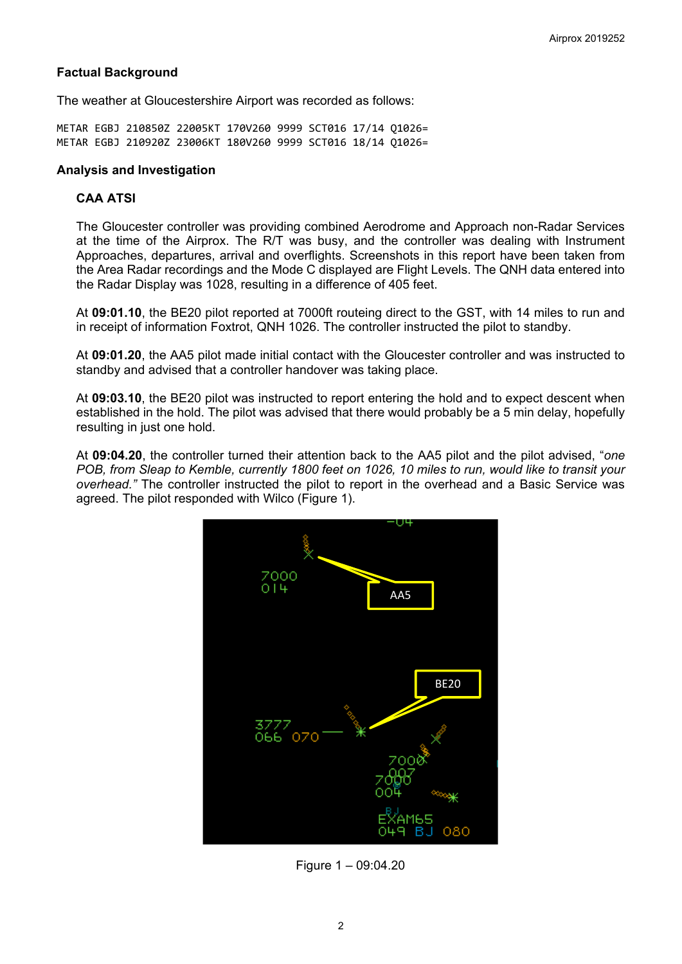## **Factual Background**

The weather at Gloucestershire Airport was recorded as follows:

METAR EGBJ 210850Z 22005KT 170V260 9999 SCT016 17/14 Q1026= METAR EGBJ 210920Z 23006KT 180V260 9999 SCT016 18/14 Q1026=

#### **Analysis and Investigation**

## **CAA ATSI**

The Gloucester controller was providing combined Aerodrome and Approach non-Radar Services at the time of the Airprox. The R/T was busy, and the controller was dealing with Instrument Approaches, departures, arrival and overflights. Screenshots in this report have been taken from the Area Radar recordings and the Mode C displayed are Flight Levels. The QNH data entered into the Radar Display was 1028, resulting in a difference of 405 feet.

At **09:01.10**, the BE20 pilot reported at 7000ft routeing direct to the GST, with 14 miles to run and in receipt of information Foxtrot, QNH 1026. The controller instructed the pilot to standby.

At **09:01.20**, the AA5 pilot made initial contact with the Gloucester controller and was instructed to standby and advised that a controller handover was taking place.

At **09:03.10**, the BE20 pilot was instructed to report entering the hold and to expect descent when established in the hold. The pilot was advised that there would probably be a 5 min delay, hopefully resulting in just one hold.

At **09:04.20**, the controller turned their attention back to the AA5 pilot and the pilot advised, "*one POB, from Sleap to Kemble, currently 1800 feet on 1026, 10 miles to run, would like to transit your overhead."* The controller instructed the pilot to report in the overhead and a Basic Service was agreed. The pilot responded with Wilco (Figure 1).



Figure 1 – 09:04.20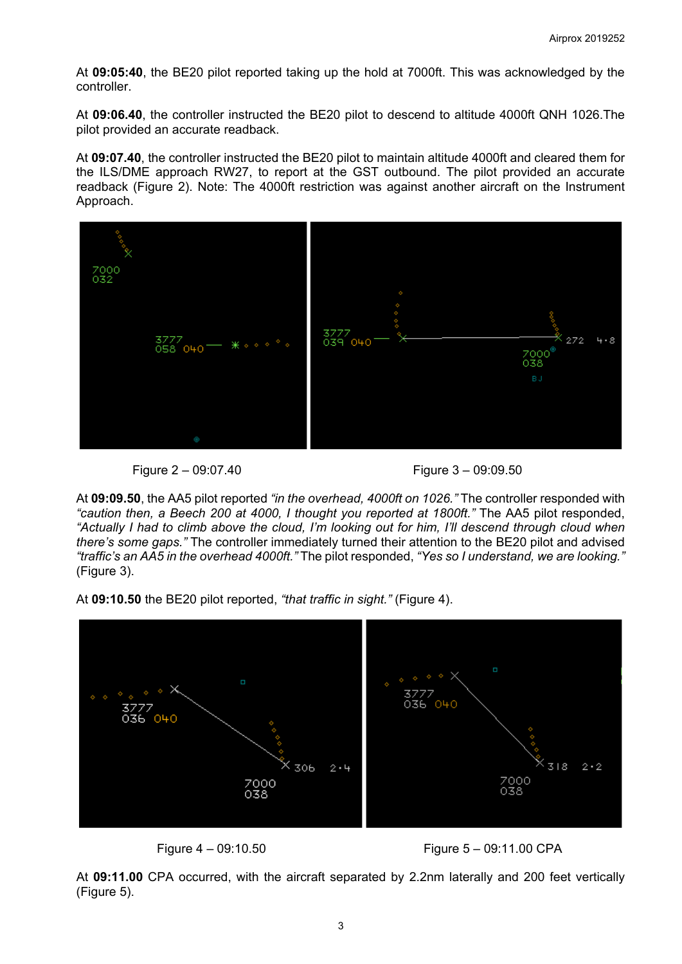At **09:05:40**, the BE20 pilot reported taking up the hold at 7000ft. This was acknowledged by the controller.

At **09:06.40**, the controller instructed the BE20 pilot to descend to altitude 4000ft QNH 1026.The pilot provided an accurate readback.

At **09:07.40**, the controller instructed the BE20 pilot to maintain altitude 4000ft and cleared them for the ILS/DME approach RW27, to report at the GST outbound. The pilot provided an accurate readback (Figure 2). Note: The 4000ft restriction was against another aircraft on the Instrument Approach.



Figure 2 – 09:07.40 Figure 3 – 09:09.50

At **09:09.50**, the AA5 pilot reported *"in the overhead, 4000ft on 1026."* The controller responded with *"caution then, a Beech 200 at 4000, I thought you reported at 1800ft."* The AA5 pilot responded, *"Actually I had to climb above the cloud, I'm looking out for him, I'll descend through cloud when there's some gaps."* The controller immediately turned their attention to the BE20 pilot and advised *"traffic's an AA5 in the overhead 4000ft."* The pilot responded, *"Yes so I understand, we are looking."*  (Figure 3).

At **09:10.50** the BE20 pilot reported, *"that traffic in sight."* (Figure 4).



Figure 4 – 09:10.50 Figure 5 – 09:11.00 CPA

At **09:11.00** CPA occurred, with the aircraft separated by 2.2nm laterally and 200 feet vertically (Figure 5).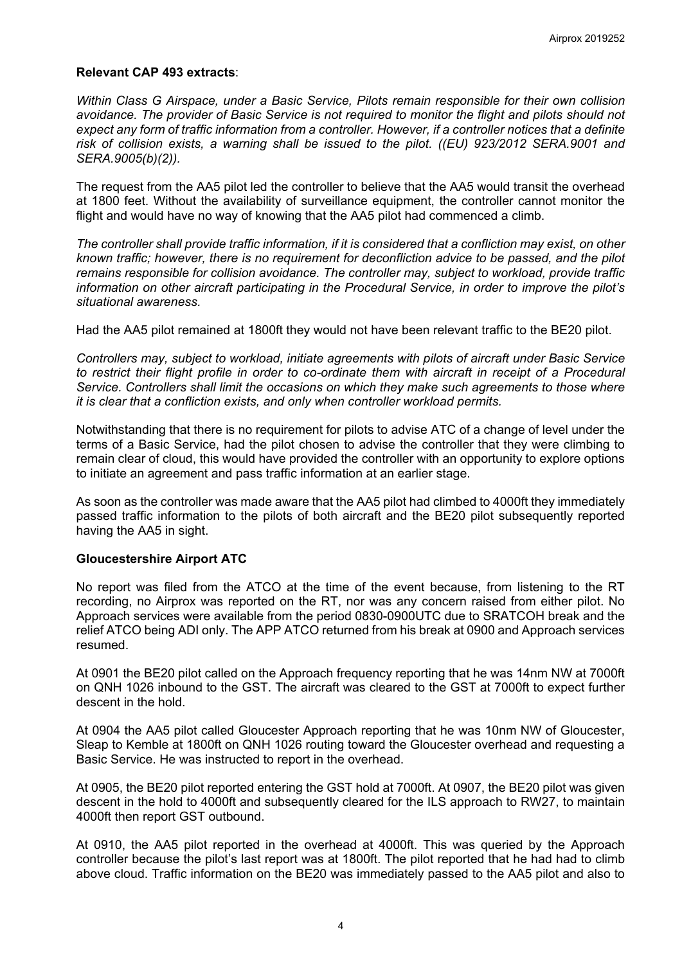#### **Relevant CAP 493 extracts**:

*Within Class G Airspace, under a Basic Service, Pilots remain responsible for their own collision avoidance. The provider of Basic Service is not required to monitor the flight and pilots should not expect any form of traffic information from a controller. However, if a controller notices that a definite risk of collision exists, a warning shall be issued to the pilot. ((EU) 923/2012 SERA.9001 and SERA.9005(b)(2)).* 

The request from the AA5 pilot led the controller to believe that the AA5 would transit the overhead at 1800 feet. Without the availability of surveillance equipment, the controller cannot monitor the flight and would have no way of knowing that the AA5 pilot had commenced a climb.

*The controller shall provide traffic information, if it is considered that a confliction may exist, on other known traffic; however, there is no requirement for deconfliction advice to be passed, and the pilot remains responsible for collision avoidance. The controller may, subject to workload, provide traffic information on other aircraft participating in the Procedural Service, in order to improve the pilot's situational awareness.* 

Had the AA5 pilot remained at 1800ft they would not have been relevant traffic to the BE20 pilot.

*Controllers may, subject to workload, initiate agreements with pilots of aircraft under Basic Service*  to restrict their flight profile in order to co-ordinate them with aircraft in receipt of a Procedural *Service. Controllers shall limit the occasions on which they make such agreements to those where it is clear that a confliction exists, and only when controller workload permits.* 

Notwithstanding that there is no requirement for pilots to advise ATC of a change of level under the terms of a Basic Service, had the pilot chosen to advise the controller that they were climbing to remain clear of cloud, this would have provided the controller with an opportunity to explore options to initiate an agreement and pass traffic information at an earlier stage.

As soon as the controller was made aware that the AA5 pilot had climbed to 4000ft they immediately passed traffic information to the pilots of both aircraft and the BE20 pilot subsequently reported having the AA5 in sight.

#### **Gloucestershire Airport ATC**

No report was filed from the ATCO at the time of the event because, from listening to the RT recording, no Airprox was reported on the RT, nor was any concern raised from either pilot. No Approach services were available from the period 0830-0900UTC due to SRATCOH break and the relief ATCO being ADI only. The APP ATCO returned from his break at 0900 and Approach services resumed.

At 0901 the BE20 pilot called on the Approach frequency reporting that he was 14nm NW at 7000ft on QNH 1026 inbound to the GST. The aircraft was cleared to the GST at 7000ft to expect further descent in the hold.

At 0904 the AA5 pilot called Gloucester Approach reporting that he was 10nm NW of Gloucester, Sleap to Kemble at 1800ft on QNH 1026 routing toward the Gloucester overhead and requesting a Basic Service. He was instructed to report in the overhead.

At 0905, the BE20 pilot reported entering the GST hold at 7000ft. At 0907, the BE20 pilot was given descent in the hold to 4000ft and subsequently cleared for the ILS approach to RW27, to maintain 4000ft then report GST outbound.

At 0910, the AA5 pilot reported in the overhead at 4000ft. This was queried by the Approach controller because the pilot's last report was at 1800ft. The pilot reported that he had had to climb above cloud. Traffic information on the BE20 was immediately passed to the AA5 pilot and also to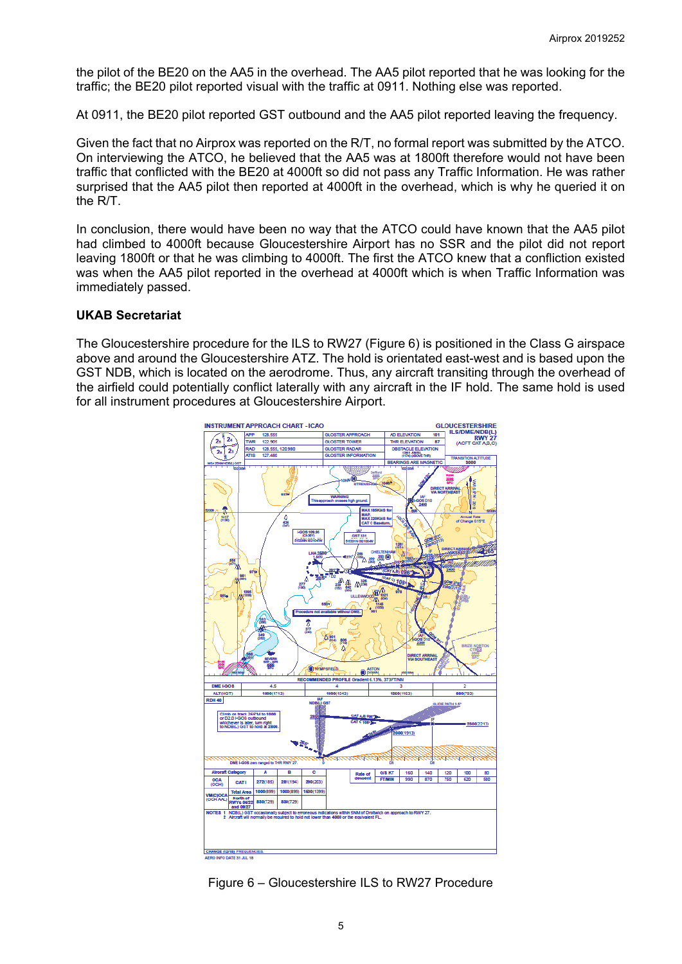the pilot of the BE20 on the AA5 in the overhead. The AA5 pilot reported that he was looking for the traffic; the BE20 pilot reported visual with the traffic at 0911. Nothing else was reported.

At 0911, the BE20 pilot reported GST outbound and the AA5 pilot reported leaving the frequency.

Given the fact that no Airprox was reported on the R/T, no formal report was submitted by the ATCO. On interviewing the ATCO, he believed that the AA5 was at 1800ft therefore would not have been traffic that conflicted with the BE20 at 4000ft so did not pass any Traffic Information. He was rather surprised that the AA5 pilot then reported at 4000ft in the overhead, which is why he queried it on the R/T.

In conclusion, there would have been no way that the ATCO could have known that the AA5 pilot had climbed to 4000ft because Gloucestershire Airport has no SSR and the pilot did not report leaving 1800ft or that he was climbing to 4000ft. The first the ATCO knew that a confliction existed was when the AA5 pilot reported in the overhead at 4000ft which is when Traffic Information was immediately passed.

#### **UKAB Secretariat**

The Gloucestershire procedure for the ILS to RW27 (Figure 6) is positioned in the Class G airspace above and around the Gloucestershire ATZ. The hold is orientated east-west and is based upon the GST NDB, which is located on the aerodrome. Thus, any aircraft transiting through the overhead of the airfield could potentially conflict laterally with any aircraft in the IF hold. The same hold is used for all instrument procedures at Gloucestershire Airport.



Figure 6 – Gloucestershire ILS to RW27 Procedure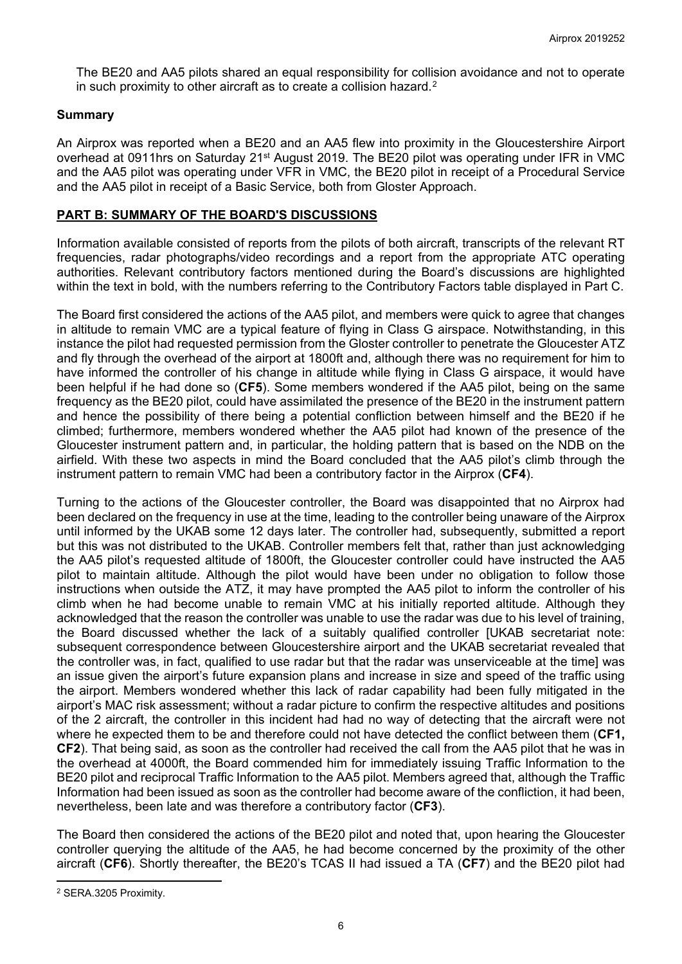The BE20 and AA5 pilots shared an equal responsibility for collision avoidance and not to operate in such proximity to other aircraft as to create a collision hazard.<sup>[2](#page-5-0)</sup>

# **Summary**

An Airprox was reported when a BE20 and an AA5 flew into proximity in the Gloucestershire Airport overhead at 0911hrs on Saturday 21<sup>st</sup> August 2019. The BE20 pilot was operating under IFR in VMC and the AA5 pilot was operating under VFR in VMC, the BE20 pilot in receipt of a Procedural Service and the AA5 pilot in receipt of a Basic Service, both from Gloster Approach.

## **PART B: SUMMARY OF THE BOARD'S DISCUSSIONS**

Information available consisted of reports from the pilots of both aircraft, transcripts of the relevant RT frequencies, radar photographs/video recordings and a report from the appropriate ATC operating authorities. Relevant contributory factors mentioned during the Board's discussions are highlighted within the text in bold, with the numbers referring to the Contributory Factors table displayed in Part C.

The Board first considered the actions of the AA5 pilot, and members were quick to agree that changes in altitude to remain VMC are a typical feature of flying in Class G airspace. Notwithstanding, in this instance the pilot had requested permission from the Gloster controller to penetrate the Gloucester ATZ and fly through the overhead of the airport at 1800ft and, although there was no requirement for him to have informed the controller of his change in altitude while flying in Class G airspace, it would have been helpful if he had done so (**CF5**). Some members wondered if the AA5 pilot, being on the same frequency as the BE20 pilot, could have assimilated the presence of the BE20 in the instrument pattern and hence the possibility of there being a potential confliction between himself and the BE20 if he climbed; furthermore, members wondered whether the AA5 pilot had known of the presence of the Gloucester instrument pattern and, in particular, the holding pattern that is based on the NDB on the airfield. With these two aspects in mind the Board concluded that the AA5 pilot's climb through the instrument pattern to remain VMC had been a contributory factor in the Airprox (**CF4**).

Turning to the actions of the Gloucester controller, the Board was disappointed that no Airprox had been declared on the frequency in use at the time, leading to the controller being unaware of the Airprox until informed by the UKAB some 12 days later. The controller had, subsequently, submitted a report but this was not distributed to the UKAB. Controller members felt that, rather than just acknowledging the AA5 pilot's requested altitude of 1800ft, the Gloucester controller could have instructed the AA5 pilot to maintain altitude. Although the pilot would have been under no obligation to follow those instructions when outside the ATZ, it may have prompted the AA5 pilot to inform the controller of his climb when he had become unable to remain VMC at his initially reported altitude. Although they acknowledged that the reason the controller was unable to use the radar was due to his level of training, the Board discussed whether the lack of a suitably qualified controller [UKAB secretariat note: subsequent correspondence between Gloucestershire airport and the UKAB secretariat revealed that the controller was, in fact, qualified to use radar but that the radar was unserviceable at the time] was an issue given the airport's future expansion plans and increase in size and speed of the traffic using the airport. Members wondered whether this lack of radar capability had been fully mitigated in the airport's MAC risk assessment; without a radar picture to confirm the respective altitudes and positions of the 2 aircraft, the controller in this incident had had no way of detecting that the aircraft were not where he expected them to be and therefore could not have detected the conflict between them (**CF1, CF2**). That being said, as soon as the controller had received the call from the AA5 pilot that he was in the overhead at 4000ft, the Board commended him for immediately issuing Traffic Information to the BE20 pilot and reciprocal Traffic Information to the AA5 pilot. Members agreed that, although the Traffic Information had been issued as soon as the controller had become aware of the confliction, it had been, nevertheless, been late and was therefore a contributory factor (**CF3**).

The Board then considered the actions of the BE20 pilot and noted that, upon hearing the Gloucester controller querying the altitude of the AA5, he had become concerned by the proximity of the other aircraft (**CF6**). Shortly thereafter, the BE20's TCAS II had issued a TA (**CF7**) and the BE20 pilot had

 $\overline{\phantom{a}}$ 

<span id="page-5-0"></span><sup>2</sup> SERA.3205 Proximity.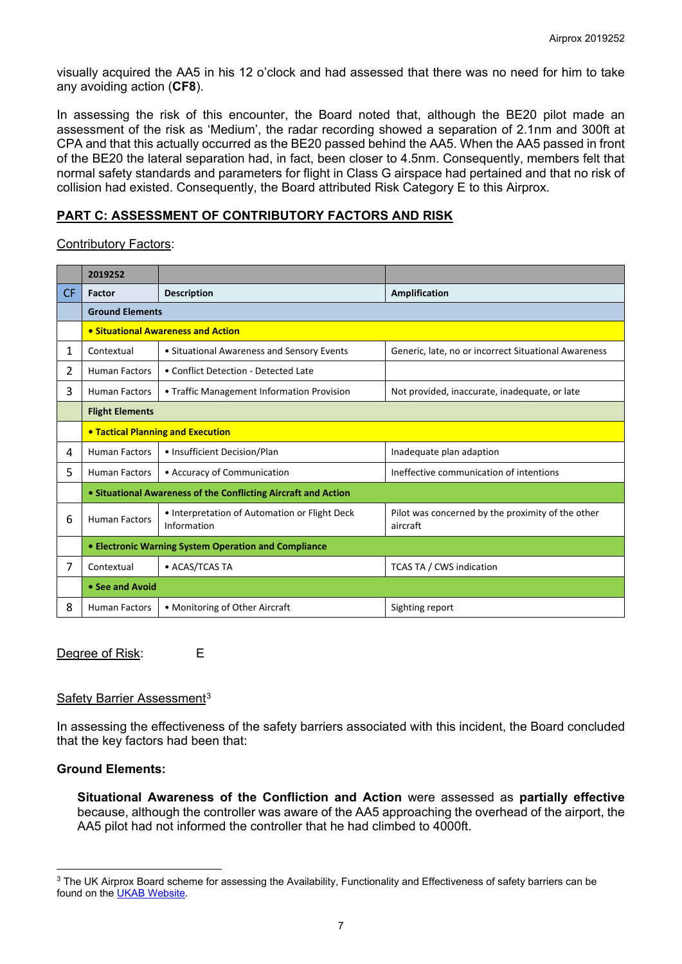visually acquired the AA5 in his 12 o'clock and had assessed that there was no need for him to take any avoiding action (**CF8**).

In assessing the risk of this encounter, the Board noted that, although the BE20 pilot made an assessment of the risk as 'Medium', the radar recording showed a separation of 2.1nm and 300ft at CPA and that this actually occurred as the BE20 passed behind the AA5. When the AA5 passed in front of the BE20 the lateral separation had, in fact, been closer to 4.5nm. Consequently, members felt that normal safety standards and parameters for flight in Class G airspace had pertained and that no risk of collision had existed. Consequently, the Board attributed Risk Category E to this Airprox.

## **PART C: ASSESSMENT OF CONTRIBUTORY FACTORS AND RISK**

Contributory Factors:

|                | 2019252                                                      |                                                                |                                                               |  |  |  |  |  |  |
|----------------|--------------------------------------------------------------|----------------------------------------------------------------|---------------------------------------------------------------|--|--|--|--|--|--|
| <b>CF</b>      | Factor                                                       | <b>Description</b>                                             | <b>Amplification</b>                                          |  |  |  |  |  |  |
|                | <b>Ground Elements</b>                                       |                                                                |                                                               |  |  |  |  |  |  |
|                | • Situational Awareness and Action                           |                                                                |                                                               |  |  |  |  |  |  |
| 1              | Contextual                                                   | • Situational Awareness and Sensory Events                     | Generic, late, no or incorrect Situational Awareness          |  |  |  |  |  |  |
| $\overline{2}$ | <b>Human Factors</b><br>• Conflict Detection - Detected Late |                                                                |                                                               |  |  |  |  |  |  |
| 3              | <b>Human Factors</b>                                         | • Traffic Management Information Provision                     | Not provided, inaccurate, inadequate, or late                 |  |  |  |  |  |  |
|                | <b>Flight Elements</b>                                       |                                                                |                                                               |  |  |  |  |  |  |
|                | <b>• Tactical Planning and Execution</b>                     |                                                                |                                                               |  |  |  |  |  |  |
| 4              | <b>Human Factors</b>                                         | • Insufficient Decision/Plan                                   | Inadequate plan adaption                                      |  |  |  |  |  |  |
| 5              | <b>Human Factors</b>                                         | • Accuracy of Communication                                    | Ineffective communication of intentions                       |  |  |  |  |  |  |
|                |                                                              | • Situational Awareness of the Conflicting Aircraft and Action |                                                               |  |  |  |  |  |  |
| 6              | <b>Human Factors</b>                                         | • Interpretation of Automation or Flight Deck<br>Information   | Pilot was concerned by the proximity of the other<br>aircraft |  |  |  |  |  |  |
|                | • Electronic Warning System Operation and Compliance         |                                                                |                                                               |  |  |  |  |  |  |
| 7              | Contextual                                                   | • ACAS/TCAS TA                                                 | TCAS TA / CWS indication                                      |  |  |  |  |  |  |
|                | • See and Avoid                                              |                                                                |                                                               |  |  |  |  |  |  |
| 8              | Human Factors                                                | • Monitoring of Other Aircraft                                 | Sighting report                                               |  |  |  |  |  |  |

Degree of Risk: E

#### Safety Barrier Assessment<sup>[3](#page-6-0)</sup>

In assessing the effectiveness of the safety barriers associated with this incident, the Board concluded that the key factors had been that:

#### **Ground Elements:**

 $\overline{\phantom{a}}$ 

**Situational Awareness of the Confliction and Action** were assessed as **partially effective** because, although the controller was aware of the AA5 approaching the overhead of the airport, the AA5 pilot had not informed the controller that he had climbed to 4000ft.

<span id="page-6-0"></span><sup>&</sup>lt;sup>3</sup> The UK Airprox Board scheme for assessing the Availability, Functionality and Effectiveness of safety barriers can be found on the [UKAB Website.](http://www.airproxboard.org.uk/Learn-more/Airprox-Barrier-Assessment/)